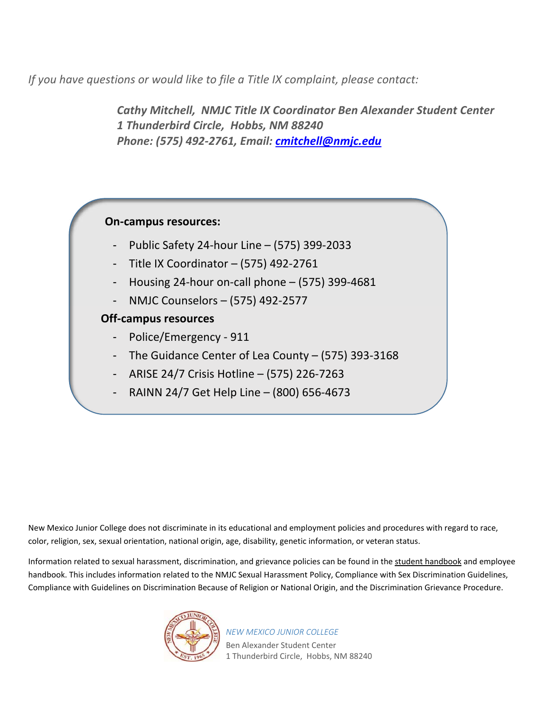*If you have questions or would like to file a Title IX complaint, please contact:* 

*Cathy Mitchell, NMJC Title IX Coordinator Ben Alexander Student Center 1 Thunderbird Circle, Hobbs, NM 88240 Phone: (575) 492‐2761, Email: cmitchell@nmjc.edu* 

#### **On‐campus resources:**

- Public Safety 24‐hour Line (575) 399‐2033
- Title IX Coordinator (575) 492‐2761
- Housing 24‐hour on‐call phone (575) 399‐4681
- NMJC Counselors (575) 492‐2577

#### **Off‐campus resources**

- Police/Emergency ‐ 911
- The Guidance Center of Lea County (575) 393‐3168
- ARISE 24/7 Crisis Hotline (575) 226‐7263
- RAINN 24/7 Get Help Line (800) 656‐4673

New Mexico Junior College does not discriminate in its educational and employment policies and procedures with regard to race, color, religion, sex, sexual orientation, national origin, age, disability, genetic information, or veteran status.

Information related to sexual harassment, discrimination, and grievance policies can be found in the student handbook and employee handbook. This includes information related to the NMJC Sexual Harassment Policy, Compliance with Sex Discrimination Guidelines, Compliance with Guidelines on Discrimination Because of Religion or National Origin, and the Discrimination Grievance Procedure.



*NEW MEXICO JUNIOR COLLEGE* 

Ben Alexander Student Center 1 Thunderbird Circle, Hobbs, NM 88240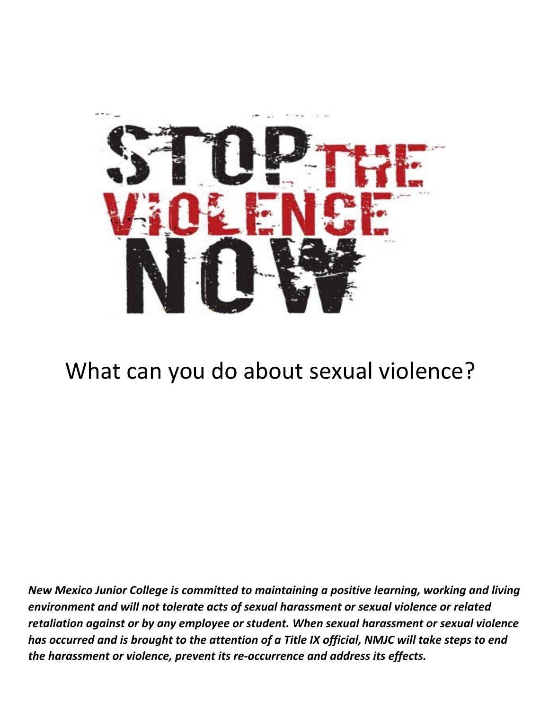

# What can you do about sexual violence?

*New Mexico Junior College is committed to maintaining a positive learning, working and living environment and will not tolerate acts of sexual harassment or sexual violence or related retaliation against or by any employee or student. When sexual harassment or sexual violence has occurred and is brought to the attention of a Title IX official, NMJC will take steps to end the harassment or violence, prevent its re‐occurrence and address its effects.*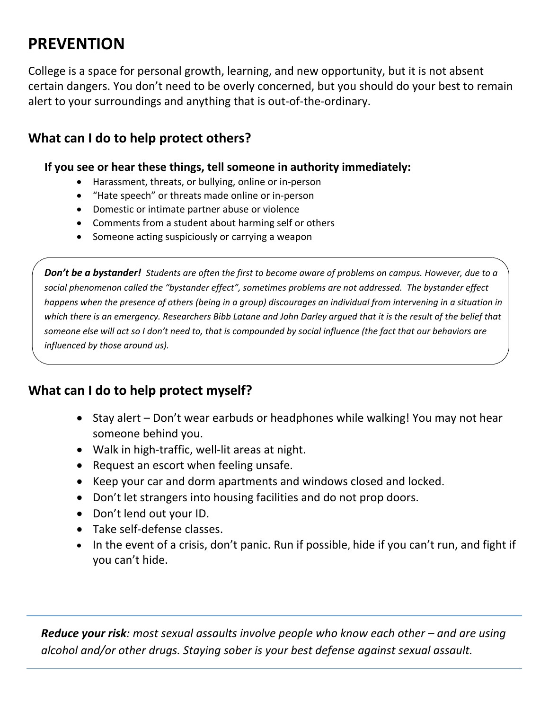### **PREVENTION**

College is a space for personal growth, learning, and new opportunity, but it is not absent certain dangers. You don't need to be overly concerned, but you should do your best to remain alert to your surroundings and anything that is out‐of‐the‐ordinary.

#### **What can I do to help protect others?**

#### **If you see or hear these things, tell someone in authority immediately:**

- Harassment, threats, or bullying, online or in‐person
- "Hate speech" or threats made online or in‐person
- Domestic or intimate partner abuse or violence
- Comments from a student about harming self or others
- Someone acting suspiciously or carrying a weapon

*Don't be a bystander! Students are often the first to become aware of problems on campus. However, due to a social phenomenon called the "bystander effect", sometimes problems are not addressed. The bystander effect happens when the presence of others (being in a group) discourages an individual from intervening in a situation in which there is an emergency. Researchers Bibb Latane and John Darley argued that it is the result of the belief that someone else will act so I don't need to, that is compounded by social influence (the fact that our behaviors are influenced by those around us).* 

#### **What can I do to help protect myself?**

- Stay alert Don't wear earbuds or headphones while walking! You may not hear someone behind you.
- Walk in high-traffic, well-lit areas at night.
- Request an escort when feeling unsafe.
- Keep your car and dorm apartments and windows closed and locked.
- Don't let strangers into housing facilities and do not prop doors.
- Don't lend out your ID.
- Take self-defense classes.
- In the event of a crisis, don't panic. Run if possible, hide if you can't run, and fight if you can't hide.

*Reduce your risk: most sexual assaults involve people who know each other – and are using alcohol and/or other drugs. Staying sober is your best defense against sexual assault.*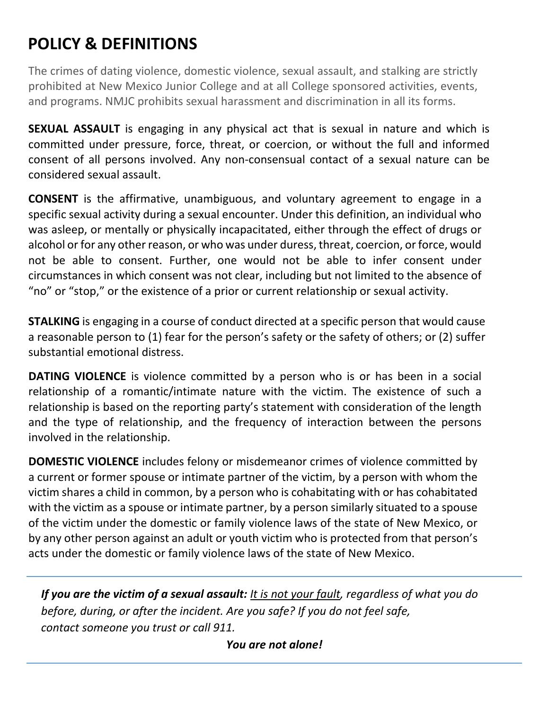# **POLICY & DEFINITIONS**

The crimes of dating violence, domestic violence, sexual assault, and stalking are strictly prohibited at New Mexico Junior College and at all College sponsored activities, events, and programs. NMJC prohibits sexual harassment and discrimination in all its forms.

**SEXUAL ASSAULT** is engaging in any physical act that is sexual in nature and which is committed under pressure, force, threat, or coercion, or without the full and informed consent of all persons involved. Any non‐consensual contact of a sexual nature can be considered sexual assault.

**CONSENT** is the affirmative, unambiguous, and voluntary agreement to engage in a specific sexual activity during a sexual encounter. Under this definition, an individual who was asleep, or mentally or physically incapacitated, either through the effect of drugs or alcohol or for any other reason, or who was under duress, threat, coercion, or force, would not be able to consent. Further, one would not be able to infer consent under circumstances in which consent was not clear, including but not limited to the absence of "no" or "stop," or the existence of a prior or current relationship or sexual activity.

**STALKING** is engaging in a course of conduct directed at a specific person that would cause a reasonable person to (1) fear for the person's safety or the safety of others; or (2) suffer substantial emotional distress.

**DATING VIOLENCE** is violence committed by a person who is or has been in a social relationship of a romantic/intimate nature with the victim. The existence of such a relationship is based on the reporting party's statement with consideration of the length and the type of relationship, and the frequency of interaction between the persons involved in the relationship.

**DOMESTIC VIOLENCE** includes felony or misdemeanor crimes of violence committed by a current or former spouse or intimate partner of the victim, by a person with whom the victim shares a child in common, by a person who is cohabitating with or has cohabitated with the victim as a spouse or intimate partner, by a person similarly situated to a spouse of the victim under the domestic or family violence laws of the state of New Mexico, or by any other person against an adult or youth victim who is protected from that person's acts under the domestic or family violence laws of the state of New Mexico.

*If you are the victim of a sexual assault: It is not your fault, regardless of what you do before, during, or after the incident. Are you safe? If you do not feel safe, contact someone you trust or call 911.*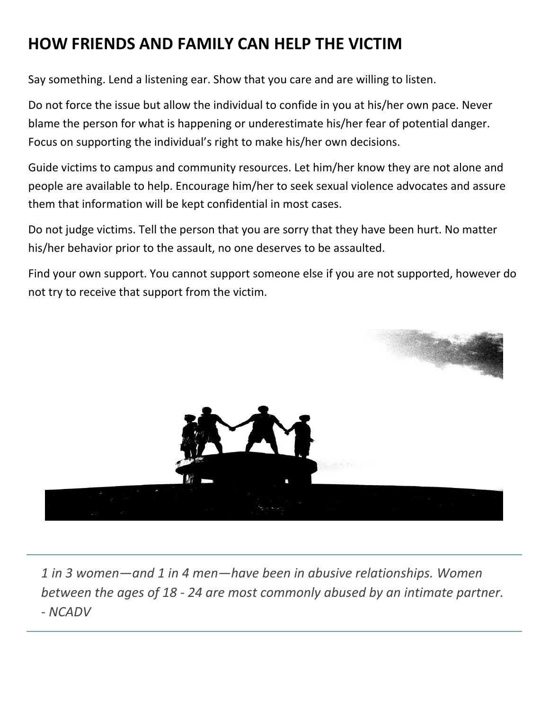### **HOW FRIENDS AND FAMILY CAN HELP THE VICTIM**

Say something. Lend a listening ear. Show that you care and are willing to listen.

Do not force the issue but allow the individual to confide in you at his/her own pace. Never blame the person for what is happening or underestimate his/her fear of potential danger. Focus on supporting the individual's right to make his/her own decisions.

Guide victims to campus and community resources. Let him/her know they are not alone and people are available to help. Encourage him/her to seek sexual violence advocates and assure them that information will be kept confidential in most cases.

Do not judge victims. Tell the person that you are sorry that they have been hurt. No matter his/her behavior prior to the assault, no one deserves to be assaulted.

Find your own support. You cannot support someone else if you are not supported, however do not try to receive that support from the victim.



*1 in 3 women—and 1 in 4 men—have been in abusive relationships. Women between the ages of 18 ‐ 24 are most commonly abused by an intimate partner. ‐ NCADV*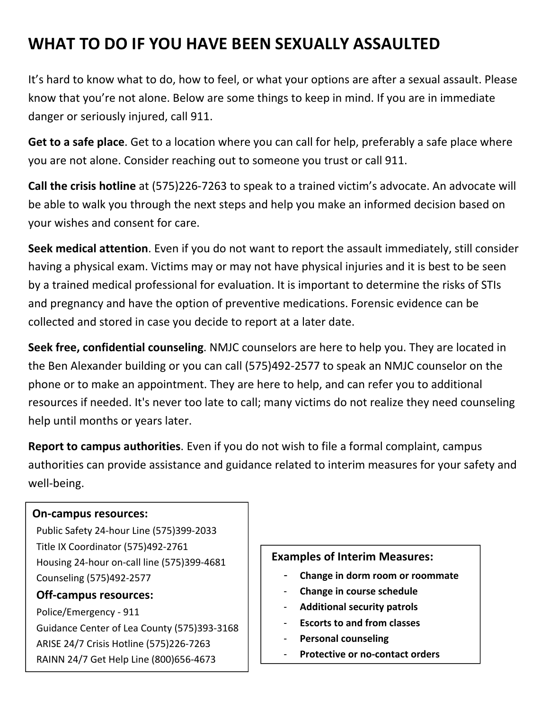### **WHAT TO DO IF YOU HAVE BEEN SEXUALLY ASSAULTED**

It's hard to know what to do, how to feel, or what your options are after a sexual assault. Please know that you're not alone. Below are some things to keep in mind. If you are in immediate danger or seriously injured, call 911.

**Get to a safe place**. Get to a location where you can call for help, preferably a safe place where you are not alone. Consider reaching out to someone you trust or call 911.

**Call the crisis hotline** at (575)226‐7263 to speak to a trained victim's advocate. An advocate will be able to walk you through the next steps and help you make an informed decision based on your wishes and consent for care.

**Seek medical attention**. Even if you do not want to report the assault immediately, still consider having a physical exam. Victims may or may not have physical injuries and it is best to be seen by a trained medical professional for evaluation. It is important to determine the risks of STIs and pregnancy and have the option of preventive medications. Forensic evidence can be collected and stored in case you decide to report at a later date.

**Seek free, confidential counseling**. NMJC counselors are here to help you. They are located in the Ben Alexander building or you can call (575)492‐2577 to speak an NMJC counselor on the phone or to make an appointment. They are here to help, and can refer you to additional resources if needed. It's never too late to call; many victims do not realize they need counseling help until months or years later.

**Report to campus authorities**. Even if you do not wish to file a formal complaint, campus authorities can provide assistance and guidance related to interim measures for your safety and well‐being.

#### **On‐campus resources:**

Public Safety 24‐hour Line (575)399‐2033 Title IX Coordinator (575)492‐2761 Housing 24‐hour on‐call line (575)399‐4681 Counseling (575)492‐2577

#### **Off‐campus resources:**  Police/Emergency ‐ 911

Guidance Center of Lea County (575)393‐3168 ARISE 24/7 Crisis Hotline (575)226‐7263 RAINN 24/7 Get Help Line (800)656‐4673

#### **Examples of Interim Measures:**

- **Change in dorm room or roommate**
- **Change in course schedule**
- **Additional security patrols**
- **Escorts to and from classes**
- **Personal counseling**
- **Protective or no‐contact orders**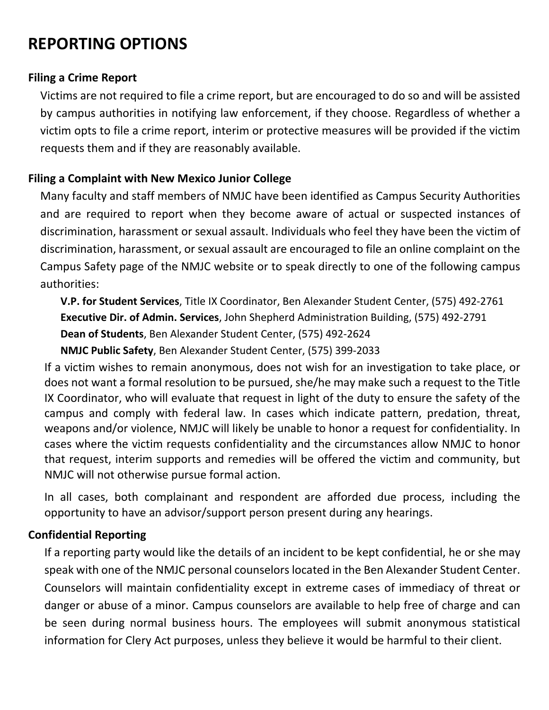### **REPORTING OPTIONS**

#### **Filing a Crime Report**

Victims are not required to file a crime report, but are encouraged to do so and will be assisted by campus authorities in notifying law enforcement, if they choose. Regardless of whether a victim opts to file a crime report, interim or protective measures will be provided if the victim requests them and if they are reasonably available.

#### **Filing a Complaint with New Mexico Junior College**

Many faculty and staff members of NMJC have been identified as Campus Security Authorities and are required to report when they become aware of actual or suspected instances of discrimination, harassment or sexual assault. Individuals who feel they have been the victim of discrimination, harassment, or sexual assault are encouraged to file an online complaint on the Campus Safety page of the NMJC website or to speak directly to one of the following campus authorities:

**V.P. for Student Services**, Title IX Coordinator, Ben Alexander Student Center, (575) 492‐2761 **Executive Dir. of Admin. Services**, John Shepherd Administration Building, (575) 492‐2791 **Dean of Students**, Ben Alexander Student Center, (575) 492‐2624

**NMJC Public Safety**, Ben Alexander Student Center, (575) 399‐2033

If a victim wishes to remain anonymous, does not wish for an investigation to take place, or does not want a formal resolution to be pursued, she/he may make such a request to the Title IX Coordinator, who will evaluate that request in light of the duty to ensure the safety of the campus and comply with federal law. In cases which indicate pattern, predation, threat, weapons and/or violence, NMJC will likely be unable to honor a request for confidentiality. In cases where the victim requests confidentiality and the circumstances allow NMJC to honor that request, interim supports and remedies will be offered the victim and community, but NMJC will not otherwise pursue formal action.

In all cases, both complainant and respondent are afforded due process, including the opportunity to have an advisor/support person present during any hearings.

#### **Confidential Reporting**

If a reporting party would like the details of an incident to be kept confidential, he or she may speak with one of the NMJC personal counselors located in the Ben Alexander Student Center. Counselors will maintain confidentiality except in extreme cases of immediacy of threat or danger or abuse of a minor. Campus counselors are available to help free of charge and can be seen during normal business hours. The employees will submit anonymous statistical information for Clery Act purposes, unless they believe it would be harmful to their client.